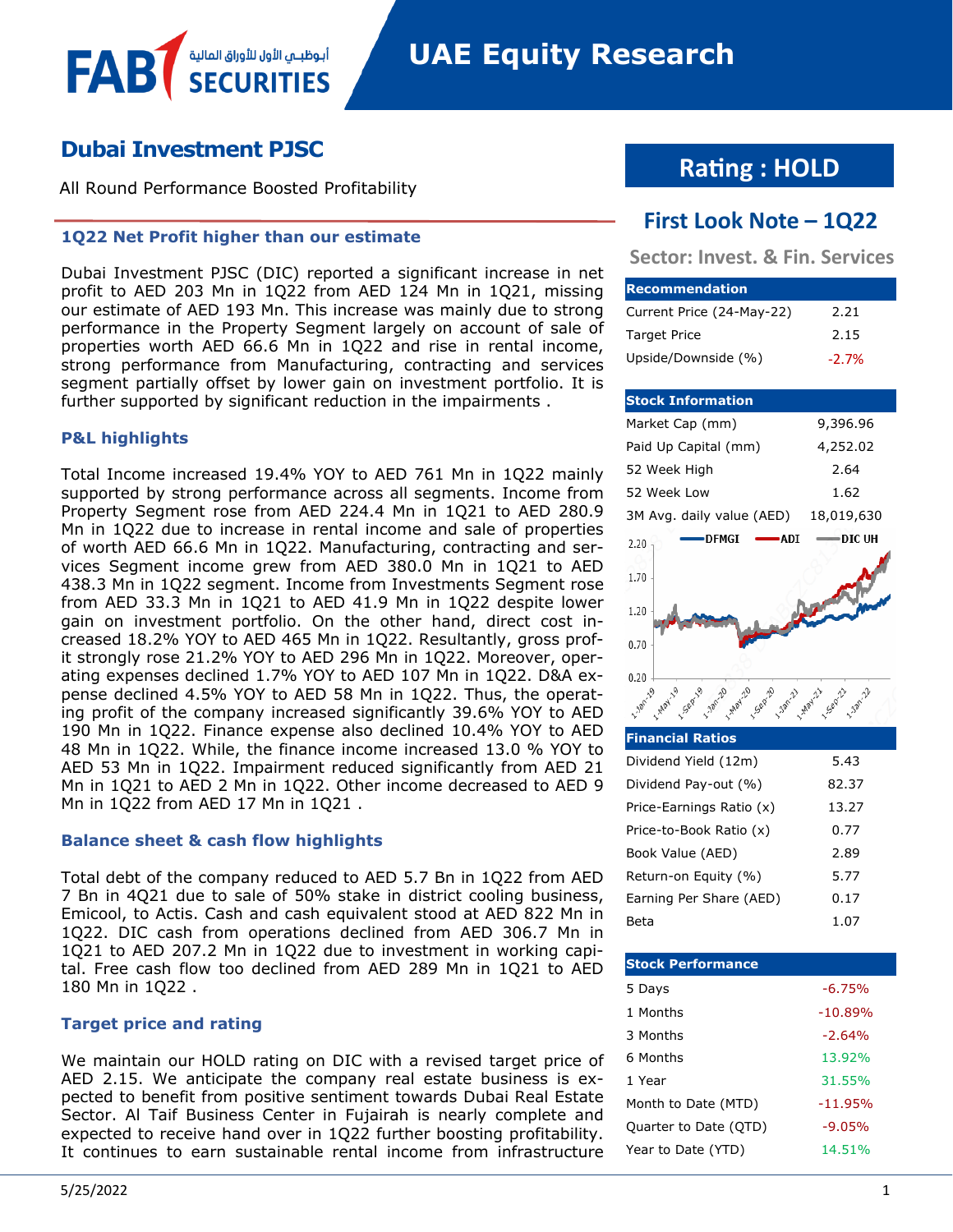# **Dubai Investment PJSC**

All Round Performance Boosted Profitability

أبوظبــي الأول للأوراق المال

# **1Q22 Net Profit higher than our estimate**

Dubai Investment PJSC (DIC) reported a significant increase in net profit to AED 203 Mn in 1Q22 from AED 124 Mn in 1Q21, missing our estimate of AED 193 Mn. This increase was mainly due to strong performance in the Property Segment largely on account of sale of properties worth AED 66.6 Mn in 1Q22 and rise in rental income, strong performance from Manufacturing, contracting and services segment partially offset by lower gain on investment portfolio. It is further supported by significant reduction in the impairments .

# **P&L highlights**

FAB

Total Income increased 19.4% YOY to AED 761 Mn in 1Q22 mainly supported by strong performance across all segments. Income from Property Segment rose from AED 224.4 Mn in 1Q21 to AED 280.9 Mn in 1Q22 due to increase in rental income and sale of properties of worth AED 66.6 Mn in 1Q22. Manufacturing, contracting and services Segment income grew from AED 380.0 Mn in 1Q21 to AED 438.3 Mn in 1Q22 segment. Income from Investments Segment rose from AED 33.3 Mn in 1Q21 to AED 41.9 Mn in 1Q22 despite lower gain on investment portfolio. On the other hand, direct cost increased 18.2% YOY to AED 465 Mn in 1Q22. Resultantly, gross profit strongly rose 21.2% YOY to AED 296 Mn in 1Q22. Moreover, operating expenses declined 1.7% YOY to AED 107 Mn in 1Q22. D&A expense declined 4.5% YOY to AED 58 Mn in 1Q22. Thus, the operating profit of the company increased significantly 39.6% YOY to AED 190 Mn in 1Q22. Finance expense also declined 10.4% YOY to AED 48 Mn in 1Q22. While, the finance income increased 13.0 % YOY to AED 53 Mn in 1Q22. Impairment reduced significantly from AED 21 Mn in 1Q21 to AED 2 Mn in 1Q22. Other income decreased to AED 9 Mn in 1Q22 from AED 17 Mn in 1Q21 .

# **Balance sheet & cash flow highlights**

Total debt of the company reduced to AED 5.7 Bn in 1Q22 from AED 7 Bn in 4Q21 due to sale of 50% stake in district cooling business, Emicool, to Actis. Cash and cash equivalent stood at AED 822 Mn in 1Q22. DIC cash from operations declined from AED 306.7 Mn in 1Q21 to AED 207.2 Mn in 1Q22 due to investment in working capital. Free cash flow too declined from AED 289 Mn in 1Q21 to AED 180 Mn in 1Q22 .

# **Target price and rating**

We maintain our HOLD rating on DIC with a revised target price of AED 2.15. We anticipate the company real estate business is expected to benefit from positive sentiment towards Dubai Real Estate Sector. Al Taif Business Center in Fujairah is nearly complete and expected to receive hand over in 1Q22 further boosting profitability. It continues to earn sustainable rental income from infrastructure

# **Rating : HOLD**

# **First Look Note – 1Q22**

**Sector: Invest. & Fin. Services**

| <b>Recommendation</b>     |          |
|---------------------------|----------|
| Current Price (24-May-22) | 2.21     |
| <b>Target Price</b>       | 2.15     |
| Upside/Downside (%)       | $-2.7\%$ |

#### **Stock Information** Market Cap (mm) 9,396.96 Paid Up Capital (mm) 4,252.02 52 Week High 2.64 52 Week Low 1.62 3M Avg. daily value (AED) 18,019,630 DFMGI -**ADI** -DIC UH 2.20 1.70 1.20  $0.70$  $0.20$ **2.20m** 19 Sep-19 1.78m-20 20 AMay 20 9 Sep-2 - Jan-2 - Haay 21 Sep-21

| <b>Financial Ratios</b>  |       |
|--------------------------|-------|
| Dividend Yield (12m)     | 5.43  |
| Dividend Pay-out (%)     | 82.37 |
| Price-Earnings Ratio (x) | 13.27 |
| Price-to-Book Ratio (x)  | 0.77  |
| Book Value (AED)         | 2.89  |
| Return-on Equity (%)     | 5.77  |
| Earning Per Share (AED)  | 0.17  |
| Beta                     | 1.07  |

| <b>Stock Performance</b> |           |
|--------------------------|-----------|
| 5 Days                   | $-6.75%$  |
| 1 Months                 | $-10.89%$ |
| 3 Months                 | $-2.64%$  |
| 6 Months                 | 13.92%    |
| 1 Year                   | 31.55%    |
| Month to Date (MTD)      | $-11.95%$ |
| Quarter to Date (QTD)    | $-9.05%$  |
| Year to Date (YTD)       | 14.51%    |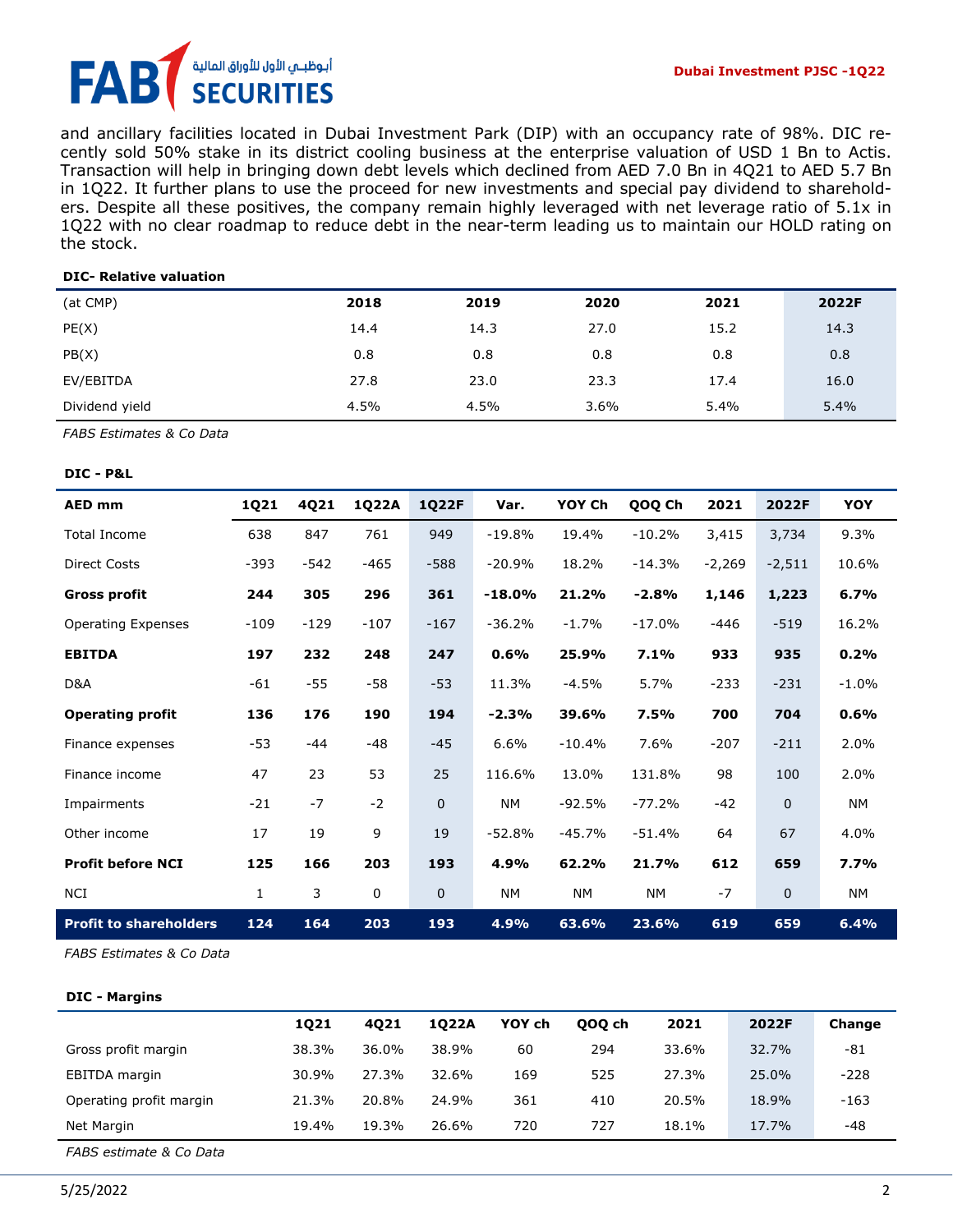# أبوظبــي الأول للأوراق المالية FA **SECURITIES**

and ancillary facilities located in Dubai Investment Park (DIP) with an occupancy rate of 98%. DIC recently sold 50% stake in its district cooling business at the enterprise valuation of USD 1 Bn to Actis. Transaction will help in bringing down debt levels which declined from AED 7.0 Bn in 4Q21 to AED 5.7 Bn in 1Q22. It further plans to use the proceed for new investments and special pay dividend to shareholders. Despite all these positives, the company remain highly leveraged with net leverage ratio of 5.1x in 1Q22 with no clear roadmap to reduce debt in the near-term leading us to maintain our HOLD rating on the stock.

#### **DIC- Relative valuation**

| (at CMP)       | 2018 | 2019 | 2020    | 2021 | 2022F |
|----------------|------|------|---------|------|-------|
| PE(X)          | 14.4 | 14.3 | 27.0    | 15.2 | 14.3  |
| PB(X)          | 0.8  | 0.8  | 0.8     | 0.8  | 0.8   |
| EV/EBITDA      | 27.8 | 23.0 | 23.3    | 17.4 | 16.0  |
| Dividend yield | 4.5% | 4.5% | $3.6\%$ | 5.4% | 5.4%  |

*FABS Estimates & Co Data*

#### **DIC - P&L**

| <b>AED mm</b>                 | 1Q21         | 4Q21   | 1Q22A  | <b>1Q22F</b> | Var.     | YOY Ch   | QOQ Ch   | 2021     | 2022F        | YOY       |
|-------------------------------|--------------|--------|--------|--------------|----------|----------|----------|----------|--------------|-----------|
| <b>Total Income</b>           | 638          | 847    | 761    | 949          | $-19.8%$ | 19.4%    | $-10.2%$ | 3,415    | 3,734        | 9.3%      |
| <b>Direct Costs</b>           | $-393$       | -542   | $-465$ | $-588$       | $-20.9%$ | 18.2%    | $-14.3%$ | $-2,269$ | $-2,511$     | 10.6%     |
| <b>Gross profit</b>           | 244          | 305    | 296    | 361          | $-18.0%$ | 21.2%    | $-2.8%$  | 1,146    | 1,223        | 6.7%      |
| <b>Operating Expenses</b>     | $-109$       | $-129$ | $-107$ | $-167$       | $-36.2%$ | $-1.7%$  | $-17.0%$ | -446     | $-519$       | 16.2%     |
| <b>EBITDA</b>                 | 197          | 232    | 248    | 247          | 0.6%     | 25.9%    | 7.1%     | 933      | 935          | 0.2%      |
| D&A                           | $-61$        | $-55$  | -58    | $-53$        | 11.3%    | $-4.5%$  | 5.7%     | $-233$   | $-231$       | $-1.0%$   |
| <b>Operating profit</b>       | 136          | 176    | 190    | 194          | $-2.3%$  | 39.6%    | 7.5%     | 700      | 704          | 0.6%      |
| Finance expenses              | -53          | $-44$  | $-48$  | $-45$        | 6.6%     | $-10.4%$ | 7.6%     | $-207$   | $-211$       | 2.0%      |
| Finance income                | 47           | 23     | 53     | 25           | 116.6%   | 13.0%    | 131.8%   | 98       | 100          | 2.0%      |
| Impairments                   | $-21$        | $-7$   | $-2$   | 0            | NΜ       | $-92.5%$ | $-77.2%$ | $-42$    | $\mathbf 0$  | <b>NM</b> |
| Other income                  | 17           | 19     | 9      | 19           | $-52.8%$ | $-45.7%$ | $-51.4%$ | 64       | 67           | 4.0%      |
| <b>Profit before NCI</b>      | 125          | 166    | 203    | 193          | 4.9%     | 62.2%    | 21.7%    | 612      | 659          | 7.7%      |
| <b>NCI</b>                    | $\mathbf{1}$ | 3      | 0      | 0            | NΜ       | NΜ       | NΜ       | $-7$     | $\mathbf{0}$ | NΜ        |
| <b>Profit to shareholders</b> | 124          | 164    | 203    | 193          | 4.9%     | 63.6%    | 23.6%    | 619      | 659          | 6.4%      |

*FABS Estimates & Co Data*

#### **DIC - Margins**

|                         | 1021  | 4021  | 1022A | YOY ch | 000 ch | 2021  | 2022F | Change |
|-------------------------|-------|-------|-------|--------|--------|-------|-------|--------|
| Gross profit margin     | 38.3% | 36.0% | 38.9% | 60     | 294    | 33.6% | 32.7% | -81    |
| EBITDA margin           | 30.9% | 27.3% | 32.6% | 169    | 525    | 27.3% | 25.0% | $-228$ |
| Operating profit margin | 21.3% | 20.8% | 24.9% | 361    | 410    | 20.5% | 18.9% | -163   |
| Net Margin              | 19.4% | 19.3% | 26.6% | 720    | 727    | 18.1% | 17.7% | -48    |
|                         |       |       |       |        |        |       |       |        |

*FABS estimate & Co Data*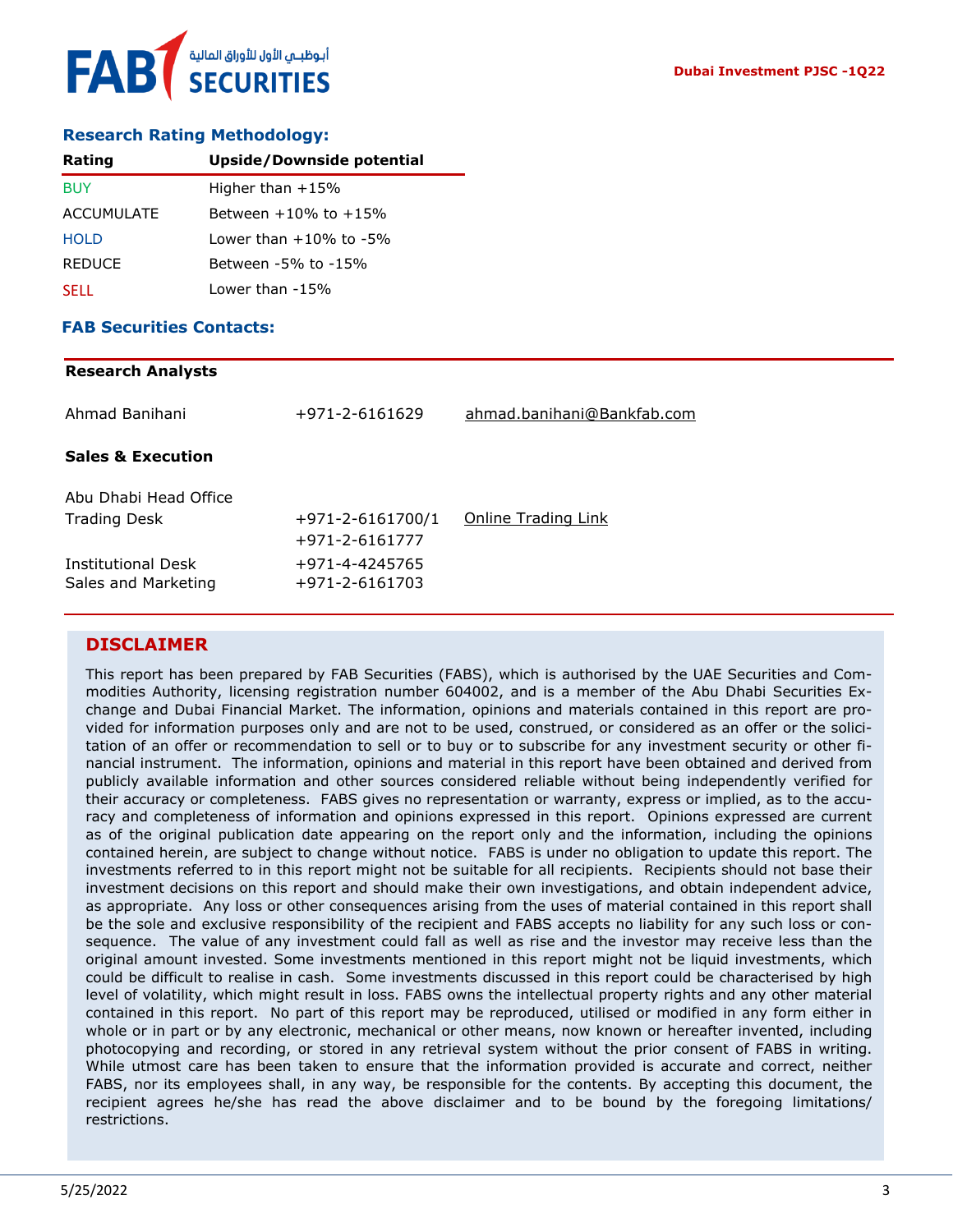

# **Research Rating Methodology:**

| Rating        | <b>Upside/Downside potential</b> |
|---------------|----------------------------------|
| <b>BUY</b>    | Higher than $+15%$               |
| ACCUMULATE    | Between $+10\%$ to $+15\%$       |
| <b>HOLD</b>   | Lower than $+10\%$ to $-5\%$     |
| <b>REDUCE</b> | Between -5% to -15%              |
| <b>SELL</b>   | Lower than -15%                  |

### **FAB Securities Contacts:**

#### **Research Analysts**

| Ahmad Banihani                            | +971-2-6161629                   | ahmad.banihani@Bankfab.com |
|-------------------------------------------|----------------------------------|----------------------------|
| <b>Sales &amp; Execution</b>              |                                  |                            |
| Abu Dhabi Head Office                     |                                  |                            |
| <b>Trading Desk</b>                       | $+971 - 2 - 6161700/1$           | Online Trading Link        |
|                                           | +971-2-6161777                   |                            |
| Institutional Desk<br>Sales and Marketing | +971-4-4245765<br>+971-2-6161703 |                            |

# **DISCLAIMER**

This report has been prepared by FAB Securities (FABS), which is authorised by the UAE Securities and Commodities Authority, licensing registration number 604002, and is a member of the Abu Dhabi Securities Exchange and Dubai Financial Market. The information, opinions and materials contained in this report are provided for information purposes only and are not to be used, construed, or considered as an offer or the solicitation of an offer or recommendation to sell or to buy or to subscribe for any investment security or other financial instrument. The information, opinions and material in this report have been obtained and derived from publicly available information and other sources considered reliable without being independently verified for their accuracy or completeness. FABS gives no representation or warranty, express or implied, as to the accuracy and completeness of information and opinions expressed in this report. Opinions expressed are current as of the original publication date appearing on the report only and the information, including the opinions contained herein, are subject to change without notice. FABS is under no obligation to update this report. The investments referred to in this report might not be suitable for all recipients. Recipients should not base their investment decisions on this report and should make their own investigations, and obtain independent advice, as appropriate. Any loss or other consequences arising from the uses of material contained in this report shall be the sole and exclusive responsibility of the recipient and FABS accepts no liability for any such loss or consequence. The value of any investment could fall as well as rise and the investor may receive less than the original amount invested. Some investments mentioned in this report might not be liquid investments, which could be difficult to realise in cash. Some investments discussed in this report could be characterised by high level of volatility, which might result in loss. FABS owns the intellectual property rights and any other material contained in this report. No part of this report may be reproduced, utilised or modified in any form either in whole or in part or by any electronic, mechanical or other means, now known or hereafter invented, including photocopying and recording, or stored in any retrieval system without the prior consent of FABS in writing. While utmost care has been taken to ensure that the information provided is accurate and correct, neither FABS, nor its employees shall, in any way, be responsible for the contents. By accepting this document, the recipient agrees he/she has read the above disclaimer and to be bound by the foregoing limitations/ restrictions.